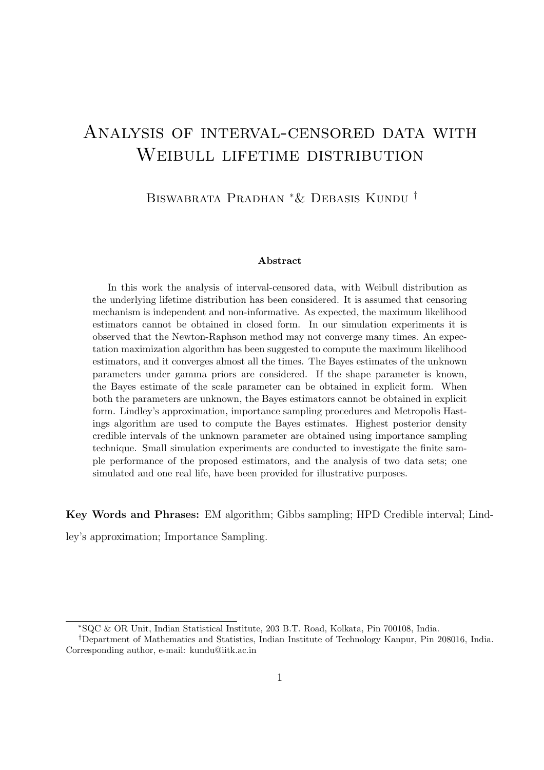# Analysis of interval-censored data with WEIBULL LIFETIME DISTRIBUTION

Biswabrata Pradhan <sup>∗</sup>& Debasis Kundu †

#### Abstract

In this work the analysis of interval-censored data, with Weibull distribution as the underlying lifetime distribution has been considered. It is assumed that censoring mechanism is independent and non-informative. As expected, the maximum likelihood estimators cannot be obtained in closed form. In our simulation experiments it is observed that the Newton-Raphson method may not converge many times. An expectation maximization algorithm has been suggested to compute the maximum likelihood estimators, and it converges almost all the times. The Bayes estimates of the unknown parameters under gamma priors are considered. If the shape parameter is known, the Bayes estimate of the scale parameter can be obtained in explicit form. When both the parameters are unknown, the Bayes estimators cannot be obtained in explicit form. Lindley's approximation, importance sampling procedures and Metropolis Hastings algorithm are used to compute the Bayes estimates. Highest posterior density credible intervals of the unknown parameter are obtained using importance sampling technique. Small simulation experiments are conducted to investigate the finite sample performance of the proposed estimators, and the analysis of two data sets; one simulated and one real life, have been provided for illustrative purposes.

Key Words and Phrases: EM algorithm; Gibbs sampling; HPD Credible interval; Lind-

ley's approximation; Importance Sampling.

<sup>∗</sup>SQC & OR Unit, Indian Statistical Institute, 203 B.T. Road, Kolkata, Pin 700108, India.

<sup>†</sup>Department of Mathematics and Statistics, Indian Institute of Technology Kanpur, Pin 208016, India. Corresponding author, e-mail: kundu@iitk.ac.in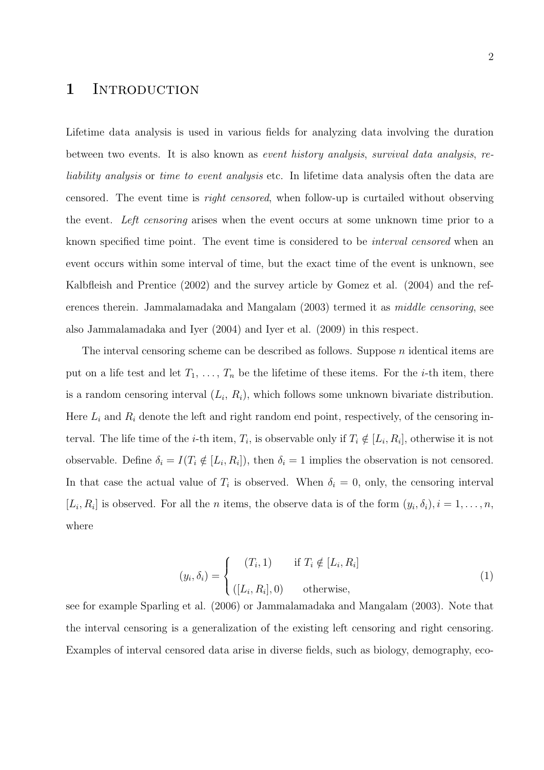### 1 INTRODUCTION

Lifetime data analysis is used in various fields for analyzing data involving the duration between two events. It is also known as event history analysis, survival data analysis, reliability analysis or time to event analysis etc. In lifetime data analysis often the data are censored. The event time is right censored, when follow-up is curtailed without observing the event. Left censoring arises when the event occurs at some unknown time prior to a known specified time point. The event time is considered to be interval censored when an event occurs within some interval of time, but the exact time of the event is unknown, see Kalbfleish and Prentice (2002) and the survey article by Gomez et al. (2004) and the references therein. Jammalamadaka and Mangalam (2003) termed it as *middle censoring*, see also Jammalamadaka and Iyer (2004) and Iyer et al. (2009) in this respect.

The interval censoring scheme can be described as follows. Suppose  $n$  identical items are put on a life test and let  $T_1, \ldots, T_n$  be the lifetime of these items. For the *i*-th item, there is a random censoring interval  $(L_i, R_i)$ , which follows some unknown bivariate distribution. Here  $L_i$  and  $R_i$  denote the left and right random end point, respectively, of the censoring interval. The life time of the *i*-th item,  $T_i$ , is observable only if  $T_i \notin [L_i, R_i]$ , otherwise it is not observable. Define  $\delta_i = I(T_i \notin [L_i, R_i])$ , then  $\delta_i = 1$  implies the observation is not censored. In that case the actual value of  $T_i$  is observed. When  $\delta_i = 0$ , only, the censoring interval  $[L_i, R_i]$  is observed. For all the *n* items, the observe data is of the form  $(y_i, \delta_i), i = 1, \ldots, n$ , where

$$
(y_i, \delta_i) = \begin{cases} (T_i, 1) & \text{if } T_i \notin [L_i, R_i] \\ ([L_i, R_i], 0) & \text{otherwise,} \end{cases}
$$
 (1)

see for example Sparling et al. (2006) or Jammalamadaka and Mangalam (2003). Note that the interval censoring is a generalization of the existing left censoring and right censoring. Examples of interval censored data arise in diverse fields, such as biology, demography, eco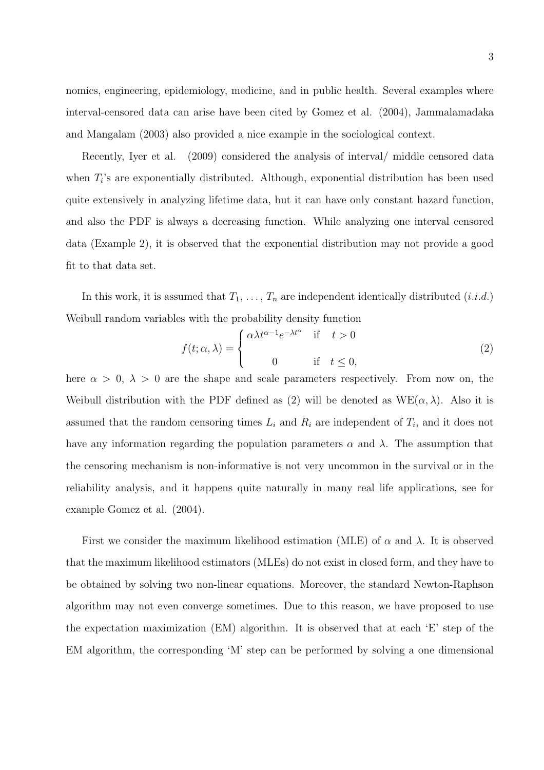nomics, engineering, epidemiology, medicine, and in public health. Several examples where interval-censored data can arise have been cited by Gomez et al. (2004), Jammalamadaka and Mangalam (2003) also provided a nice example in the sociological context.

Recently, Iyer et al. (2009) considered the analysis of interval/ middle censored data when  $T_i$ 's are exponentially distributed. Although, exponential distribution has been used quite extensively in analyzing lifetime data, but it can have only constant hazard function, and also the PDF is always a decreasing function. While analyzing one interval censored data (Example 2), it is observed that the exponential distribution may not provide a good fit to that data set.

In this work, it is assumed that  $T_1, \ldots, T_n$  are independent identically distributed  $(i.i.d.)$ Weibull random variables with the probability density function

$$
f(t; \alpha, \lambda) = \begin{cases} \alpha \lambda t^{\alpha - 1} e^{-\lambda t^{\alpha}} & \text{if } t > 0 \\ 0 & \text{if } t \le 0, \end{cases}
$$
 (2)

here  $\alpha > 0$ ,  $\lambda > 0$  are the shape and scale parameters respectively. From now on, the Weibull distribution with the PDF defined as (2) will be denoted as  $WE(\alpha, \lambda)$ . Also it is assumed that the random censoring times  $L_i$  and  $R_i$  are independent of  $T_i$ , and it does not have any information regarding the population parameters  $\alpha$  and  $\lambda$ . The assumption that the censoring mechanism is non-informative is not very uncommon in the survival or in the reliability analysis, and it happens quite naturally in many real life applications, see for example Gomez et al. (2004).

First we consider the maximum likelihood estimation (MLE) of  $\alpha$  and  $\lambda$ . It is observed that the maximum likelihood estimators (MLEs) do not exist in closed form, and they have to be obtained by solving two non-linear equations. Moreover, the standard Newton-Raphson algorithm may not even converge sometimes. Due to this reason, we have proposed to use the expectation maximization (EM) algorithm. It is observed that at each 'E' step of the EM algorithm, the corresponding 'M' step can be performed by solving a one dimensional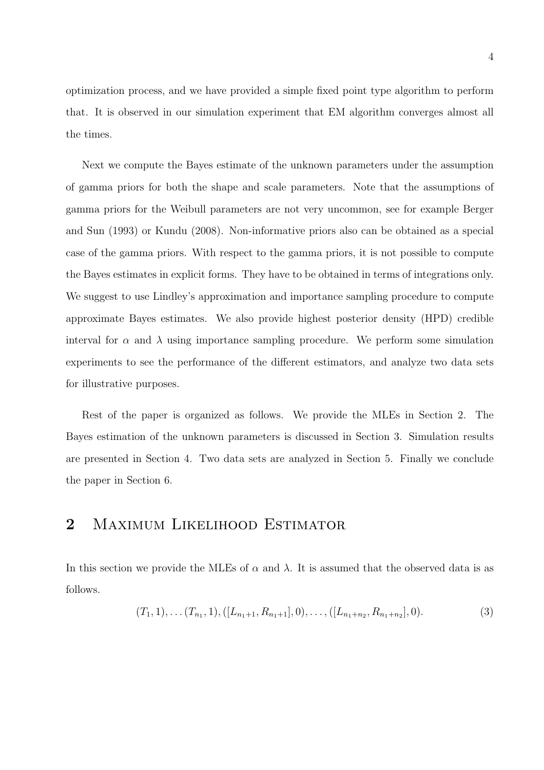optimization process, and we have provided a simple fixed point type algorithm to perform that. It is observed in our simulation experiment that EM algorithm converges almost all the times.

Next we compute the Bayes estimate of the unknown parameters under the assumption of gamma priors for both the shape and scale parameters. Note that the assumptions of gamma priors for the Weibull parameters are not very uncommon, see for example Berger and Sun (1993) or Kundu (2008). Non-informative priors also can be obtained as a special case of the gamma priors. With respect to the gamma priors, it is not possible to compute the Bayes estimates in explicit forms. They have to be obtained in terms of integrations only. We suggest to use Lindley's approximation and importance sampling procedure to compute approximate Bayes estimates. We also provide highest posterior density (HPD) credible interval for  $\alpha$  and  $\lambda$  using importance sampling procedure. We perform some simulation experiments to see the performance of the different estimators, and analyze two data sets for illustrative purposes.

Rest of the paper is organized as follows. We provide the MLEs in Section 2. The Bayes estimation of the unknown parameters is discussed in Section 3. Simulation results are presented in Section 4. Two data sets are analyzed in Section 5. Finally we conclude the paper in Section 6.

## 2 MAXIMUM LIKELIHOOD ESTIMATOR

In this section we provide the MLEs of  $\alpha$  and  $\lambda$ . It is assumed that the observed data is as follows.

$$
(T_1, 1), \ldots (T_{n_1}, 1), ([L_{n_1+1}, R_{n_1+1}], 0), \ldots, ([L_{n_1+n_2}, R_{n_1+n_2}], 0).
$$
 (3)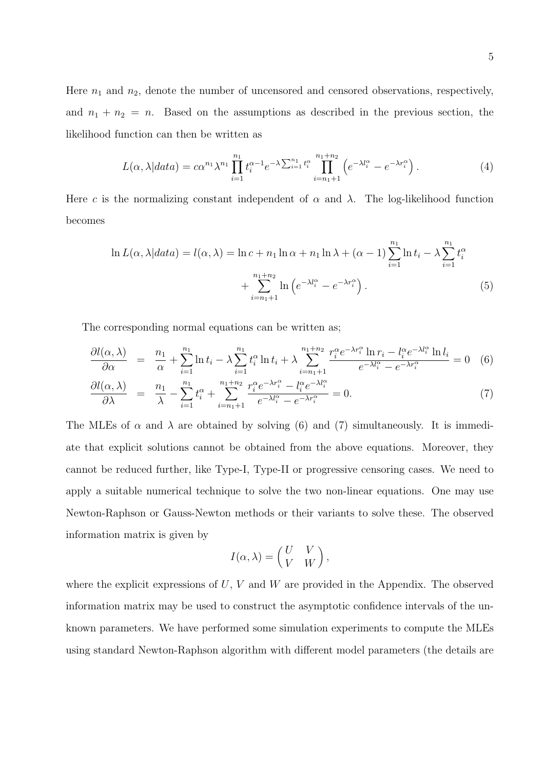5

Here  $n_1$  and  $n_2$ , denote the number of uncensored and censored observations, respectively, and  $n_1 + n_2 = n$ . Based on the assumptions as described in the previous section, the likelihood function can then be written as

$$
L(\alpha, \lambda|data) = c\alpha^{n_1} \lambda^{n_1} \prod_{i=1}^{n_1} t_i^{\alpha-1} e^{-\lambda \sum_{i=1}^{n_1} t_i^{\alpha}} \prod_{i=n_1+1}^{n_1+n_2} \left( e^{-\lambda t_i^{\alpha}} - e^{-\lambda r_i^{\alpha}} \right).
$$
 (4)

Here c is the normalizing constant independent of  $\alpha$  and  $\lambda$ . The log-likelihood function becomes

$$
\ln L(\alpha, \lambda | data) = l(\alpha, \lambda) = \ln c + n_1 \ln \alpha + n_1 \ln \lambda + (\alpha - 1) \sum_{i=1}^{n_1} \ln t_i - \lambda \sum_{i=1}^{n_1} t_i^{\alpha}
$$

$$
+ \sum_{i=n_1+1}^{n_1+n_2} \ln \left( e^{-\lambda t_i^{\alpha}} - e^{-\lambda r_i^{\alpha}} \right). \tag{5}
$$

The corresponding normal equations can be written as;

$$
\frac{\partial l(\alpha,\lambda)}{\partial \alpha} = \frac{n_1}{\alpha} + \sum_{i=1}^{n_1} \ln t_i - \lambda \sum_{i=1}^{n_1} t_i^{\alpha} \ln t_i + \lambda \sum_{i=n_1+1}^{n_1+n_2} \frac{r_i^{\alpha} e^{-\lambda r_i^{\alpha}} \ln r_i - l_i^{\alpha} e^{-\lambda l_i^{\alpha}} \ln l_i}{e^{-\lambda l_i^{\alpha}} - e^{-\lambda r_i^{\alpha}}} = 0 \quad (6)
$$

$$
\frac{\partial l(\alpha,\lambda)}{\partial \lambda} = \frac{n_1}{\lambda} - \sum_{i=1}^{n_1} t_i^{\alpha} + \sum_{i=n_1+1}^{n_1+n_2} \frac{r_i^{\alpha} e^{-\lambda r_i^{\alpha}} - l_i^{\alpha} e^{-\lambda l_i^{\alpha}}}{e^{-\lambda l_i^{\alpha}} - e^{-\lambda r_i^{\alpha}}} = 0. \tag{7}
$$

The MLEs of  $\alpha$  and  $\lambda$  are obtained by solving (6) and (7) simultaneously. It is immediate that explicit solutions cannot be obtained from the above equations. Moreover, they cannot be reduced further, like Type-I, Type-II or progressive censoring cases. We need to apply a suitable numerical technique to solve the two non-linear equations. One may use Newton-Raphson or Gauss-Newton methods or their variants to solve these. The observed information matrix is given by

$$
I(\alpha,\lambda) = \begin{pmatrix} U & V \\ V & W \end{pmatrix},
$$

where the explicit expressions of  $U, V$  and  $W$  are provided in the Appendix. The observed information matrix may be used to construct the asymptotic confidence intervals of the unknown parameters. We have performed some simulation experiments to compute the MLEs using standard Newton-Raphson algorithm with different model parameters (the details are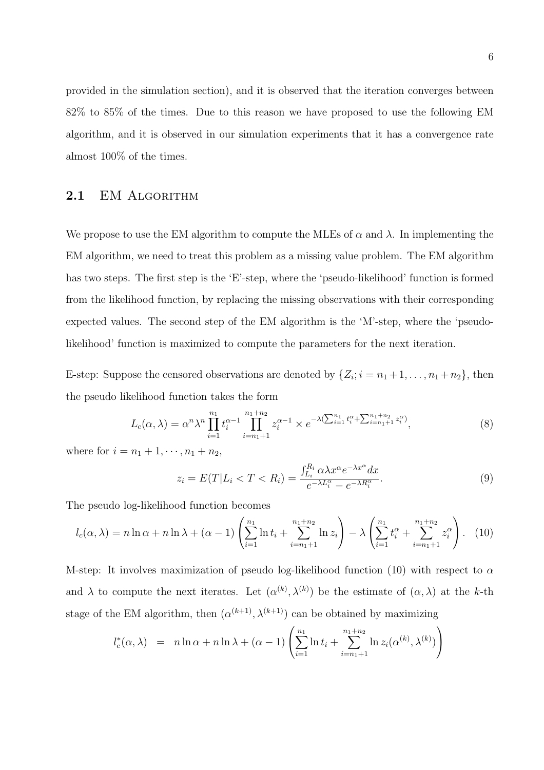provided in the simulation section), and it is observed that the iteration converges between 82% to 85% of the times. Due to this reason we have proposed to use the following EM algorithm, and it is observed in our simulation experiments that it has a convergence rate almost 100% of the times.

#### 2.1 EM ALGORITHM

We propose to use the EM algorithm to compute the MLEs of  $\alpha$  and  $\lambda$ . In implementing the EM algorithm, we need to treat this problem as a missing value problem. The EM algorithm has two steps. The first step is the 'E'-step, where the 'pseudo-likelihood' function is formed from the likelihood function, by replacing the missing observations with their corresponding expected values. The second step of the EM algorithm is the 'M'-step, where the 'pseudolikelihood' function is maximized to compute the parameters for the next iteration.

E-step: Suppose the censored observations are denoted by  $\{Z_i; i = n_1 + 1, \ldots, n_1 + n_2\}$ , then the pseudo likelihood function takes the form

$$
L_c(\alpha, \lambda) = \alpha^n \lambda^n \prod_{i=1}^{n_1} t_i^{\alpha - 1} \prod_{i=n_1+1}^{n_1+n_2} z_i^{\alpha - 1} \times e^{-\lambda (\sum_{i=1}^{n_1} t_i^{\alpha} + \sum_{i=n_1+1}^{n_1+n_2} z_i^{\alpha})},
$$
\n(8)

where for  $i = n_1 + 1, \dots, n_1 + n_2$ ,

$$
z_i = E(T|L_i < T < R_i) = \frac{\int_{L_i}^{R_i} \alpha \lambda x^{\alpha} e^{-\lambda x^{\alpha}} dx}{e^{-\lambda L_i^{\alpha}} - e^{-\lambda R_i^{\alpha}}}.\tag{9}
$$

The pseudo log-likelihood function becomes

$$
l_c(\alpha, \lambda) = n \ln \alpha + n \ln \lambda + (\alpha - 1) \left( \sum_{i=1}^{n_1} \ln t_i + \sum_{i=n_1+1}^{n_1+n_2} \ln z_i \right) - \lambda \left( \sum_{i=1}^{n_1} t_i^{\alpha} + \sum_{i=n_1+1}^{n_1+n_2} z_i^{\alpha} \right). \tag{10}
$$

M-step: It involves maximization of pseudo log-likelihood function (10) with respect to  $\alpha$ and  $\lambda$  to compute the next iterates. Let  $(\alpha^{(k)}, \lambda^{(k)})$  be the estimate of  $(\alpha, \lambda)$  at the k-th stage of the EM algorithm, then  $(\alpha^{(k+1)}, \lambda^{(k+1)})$  can be obtained by maximizing

$$
l_c^*(\alpha, \lambda) = n \ln \alpha + n \ln \lambda + (\alpha - 1) \left( \sum_{i=1}^{n_1} \ln t_i + \sum_{i=n_1+1}^{n_1+n_2} \ln z_i(\alpha^{(k)}, \lambda^{(k)}) \right)
$$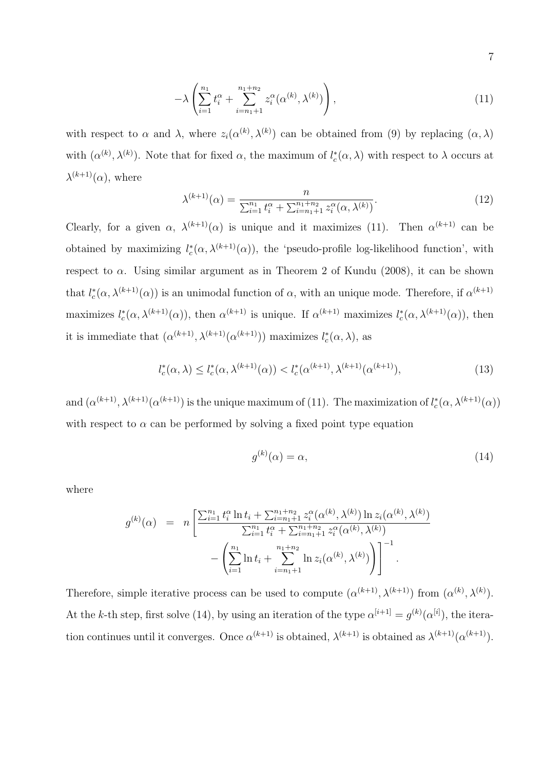$$
-\lambda \left( \sum_{i=1}^{n_1} t_i^{\alpha} + \sum_{i=n_1+1}^{n_1+n_2} z_i^{\alpha} (\alpha^{(k)}, \lambda^{(k)}) \right), \tag{11}
$$

with respect to  $\alpha$  and  $\lambda$ , where  $z_i(\alpha^{(k)}, \lambda^{(k)})$  can be obtained from (9) by replacing  $(\alpha, \lambda)$ with  $(\alpha^{(k)}, \lambda^{(k)})$ . Note that for fixed  $\alpha$ , the maximum of  $l_c^*(\alpha, \lambda)$  with respect to  $\lambda$  occurs at  $\lambda^{(k+1)}(\alpha)$ , where

$$
\lambda^{(k+1)}(\alpha) = \frac{n}{\sum_{i=1}^{n_1} t_i^{\alpha} + \sum_{i=n_1+1}^{n_1+n_2} z_i^{\alpha}(\alpha, \lambda^{(k)})}.
$$
(12)

Clearly, for a given  $\alpha$ ,  $\lambda^{(k+1)}(\alpha)$  is unique and it maximizes (11). Then  $\alpha^{(k+1)}$  can be obtained by maximizing  $l_c^*(\alpha, \lambda^{(k+1)}(\alpha))$ , the 'pseudo-profile log-likelihood function', with respect to  $\alpha$ . Using similar argument as in Theorem 2 of Kundu (2008), it can be shown that  $l_c^*(\alpha, \lambda^{(k+1)}(\alpha))$  is an unimodal function of  $\alpha$ , with an unique mode. Therefore, if  $\alpha^{(k+1)}$ maximizes  $l_c^*(\alpha, \lambda^{(k+1)}(\alpha))$ , then  $\alpha^{(k+1)}$  is unique. If  $\alpha^{(k+1)}$  maximizes  $l_c^*(\alpha, \lambda^{(k+1)}(\alpha))$ , then it is immediate that  $(\alpha^{(k+1)}, \lambda^{(k+1)}(\alpha^{(k+1)}))$  maximizes  $l_c^*(\alpha, \lambda)$ , as

$$
l_c^*(\alpha, \lambda) \le l_c^*(\alpha, \lambda^{(k+1)}(\alpha)) < l_c^*(\alpha^{(k+1)}, \lambda^{(k+1)}(\alpha^{(k+1)}), \tag{13}
$$

and  $(\alpha^{(k+1)}, \lambda^{(k+1)}(\alpha^{(k+1)})$  is the unique maximum of (11). The maximization of  $l_c^*(\alpha, \lambda^{(k+1)}(\alpha))$ with respect to  $\alpha$  can be performed by solving a fixed point type equation

$$
g^{(k)}(\alpha) = \alpha,\tag{14}
$$

where

$$
g^{(k)}(\alpha) = n \left[ \frac{\sum_{i=1}^{n_1} t_i^{\alpha} \ln t_i + \sum_{i=n_1+1}^{n_1+n_2} z_i^{\alpha}(\alpha^{(k)}, \lambda^{(k)}) \ln z_i(\alpha^{(k)}, \lambda^{(k)})}{\sum_{i=1}^{n_1} t_i^{\alpha} + \sum_{i=n_1+1}^{n_1+n_2} z_i^{\alpha}(\alpha^{(k)}, \lambda^{(k)})} - \left( \sum_{i=1}^{n_1} \ln t_i + \sum_{i=n_1+1}^{n_1+n_2} \ln z_i(\alpha^{(k)}, \lambda^{(k)}) \right) \right]^{-1}.
$$

Therefore, simple iterative process can be used to compute  $(\alpha^{(k+1)}, \lambda^{(k+1)})$  from  $(\alpha^{(k)}, \lambda^{(k)})$ . At the k-th step, first solve (14), by using an iteration of the type  $\alpha^{[i+1]} = g^{(k)}(\alpha^{[i]})$ , the iteration continues until it converges. Once  $\alpha^{(k+1)}$  is obtained,  $\lambda^{(k+1)}$  is obtained as  $\lambda^{(k+1)}(\alpha^{(k+1)})$ .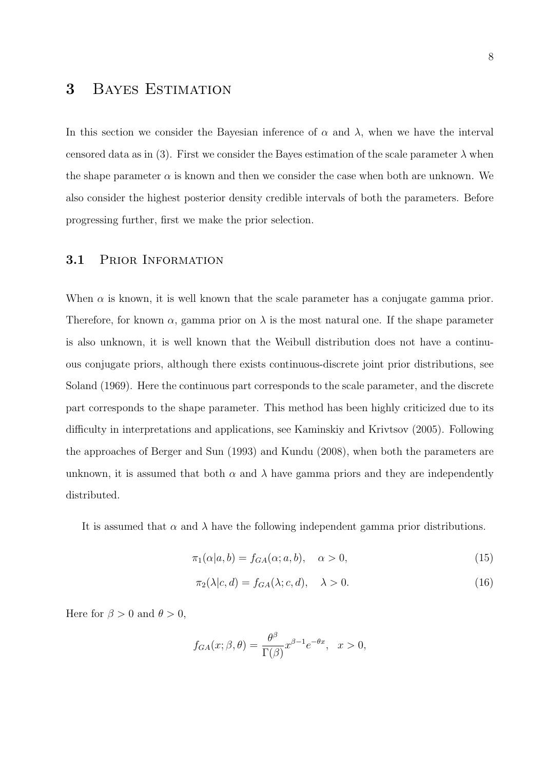## 3 Bayes Estimation

In this section we consider the Bayesian inference of  $\alpha$  and  $\lambda$ , when we have the interval censored data as in (3). First we consider the Bayes estimation of the scale parameter  $\lambda$  when the shape parameter  $\alpha$  is known and then we consider the case when both are unknown. We also consider the highest posterior density credible intervals of both the parameters. Before progressing further, first we make the prior selection.

#### 3.1 PRIOR INFORMATION

When  $\alpha$  is known, it is well known that the scale parameter has a conjugate gamma prior. Therefore, for known  $\alpha$ , gamma prior on  $\lambda$  is the most natural one. If the shape parameter is also unknown, it is well known that the Weibull distribution does not have a continuous conjugate priors, although there exists continuous-discrete joint prior distributions, see Soland (1969). Here the continuous part corresponds to the scale parameter, and the discrete part corresponds to the shape parameter. This method has been highly criticized due to its difficulty in interpretations and applications, see Kaminskiy and Krivtsov (2005). Following the approaches of Berger and Sun (1993) and Kundu (2008), when both the parameters are unknown, it is assumed that both  $\alpha$  and  $\lambda$  have gamma priors and they are independently distributed.

It is assumed that  $\alpha$  and  $\lambda$  have the following independent gamma prior distributions.

$$
\pi_1(\alpha|a,b) = f_{GA}(\alpha;a,b), \quad \alpha > 0,
$$
\n(15)

$$
\pi_2(\lambda|c, d) = f_{GA}(\lambda; c, d), \quad \lambda > 0.
$$
\n(16)

Here for  $\beta > 0$  and  $\theta > 0$ ,

$$
f_{GA}(x; \beta, \theta) = \frac{\theta^{\beta}}{\Gamma(\beta)} x^{\beta - 1} e^{-\theta x}, \quad x > 0,
$$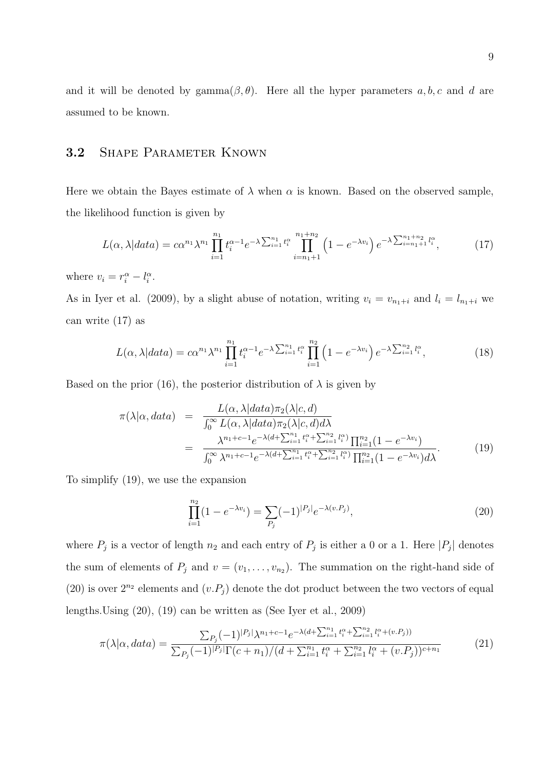and it will be denoted by gamma $(\beta, \theta)$ . Here all the hyper parameters a, b, c and d are assumed to be known.

#### 3.2 SHAPE PARAMETER KNOWN

Here we obtain the Bayes estimate of  $\lambda$  when  $\alpha$  is known. Based on the observed sample, the likelihood function is given by

$$
L(\alpha, \lambda|data) = c\alpha^{n_1} \lambda^{n_1} \prod_{i=1}^{n_1} t_i^{\alpha - 1} e^{-\lambda \sum_{i=1}^{n_1} t_i^{\alpha}} \prod_{i=n_1+1}^{n_1+n_2} \left(1 - e^{-\lambda v_i}\right) e^{-\lambda \sum_{i=n_1+1}^{n_1+n_2} l_i^{\alpha}},\tag{17}
$$

where  $v_i = r_i^{\alpha} - l_i^{\alpha}$ .

As in Iyer et al. (2009), by a slight abuse of notation, writing  $v_i = v_{n_1+i}$  and  $l_i = l_{n_1+i}$  we can write (17) as

$$
L(\alpha, \lambda|data) = c\alpha^{n_1} \lambda^{n_1} \prod_{i=1}^{n_1} t_i^{\alpha - 1} e^{-\lambda \sum_{i=1}^{n_1} t_i^{\alpha}} \prod_{i=1}^{n_2} \left( 1 - e^{-\lambda v_i} \right) e^{-\lambda \sum_{i=1}^{n_2} l_i^{\alpha}}, \tag{18}
$$

Based on the prior (16), the posterior distribution of  $\lambda$  is given by

$$
\pi(\lambda|\alpha, data) = \frac{L(\alpha, \lambda|data)\pi_2(\lambda|c, d)}{\int_0^\infty L(\alpha, \lambda|data)\pi_2(\lambda|c, d)d\lambda} \n= \frac{\lambda^{n_1+c-1}e^{-\lambda(d+\sum_{i=1}^{n_1}t_i^\alpha + \sum_{i=1}^{n_2}l_i^\alpha)}\prod_{i=1}^{n_2}(1 - e^{-\lambda v_i})}{\int_0^\infty \lambda^{n_1+c-1}e^{-\lambda(d+\sum_{i=1}^{n_1}t_i^\alpha + \sum_{i=1}^{n_2}l_i^\alpha)}\prod_{i=1}^{n_2}(1 - e^{-\lambda v_i})d\lambda}.
$$
\n(19)

To simplify (19), we use the expansion

$$
\prod_{i=1}^{n_2} (1 - e^{-\lambda v_i}) = \sum_{P_j} (-1)^{|P_j|} e^{-\lambda (v.P_j)},\tag{20}
$$

where  $P_j$  is a vector of length  $n_2$  and each entry of  $P_j$  is either a 0 or a 1. Here  $|P_j|$  denotes the sum of elements of  $P_j$  and  $v = (v_1, \ldots, v_{n_2})$ . The summation on the right-hand side of (20) is over  $2^{n_2}$  elements and  $(v.P_j)$  denote the dot product between the two vectors of equal lengths.Using (20), (19) can be written as (See Iyer et al., 2009)

$$
\pi(\lambda|\alpha, data) = \frac{\sum_{P_j} (-1)^{|P_j|} \lambda^{n_1 + c - 1} e^{-\lambda(d + \sum_{i=1}^{n_1} t_i^{\alpha} + \sum_{i=1}^{n_2} l_i^{\alpha} + (v.P_j))}}{\sum_{P_j} (-1)^{|P_j|} \Gamma(c + n_1) / (d + \sum_{i=1}^{n_1} t_i^{\alpha} + \sum_{i=1}^{n_2} l_i^{\alpha} + (v.P_j))^{c + n_1}}
$$
\n(21)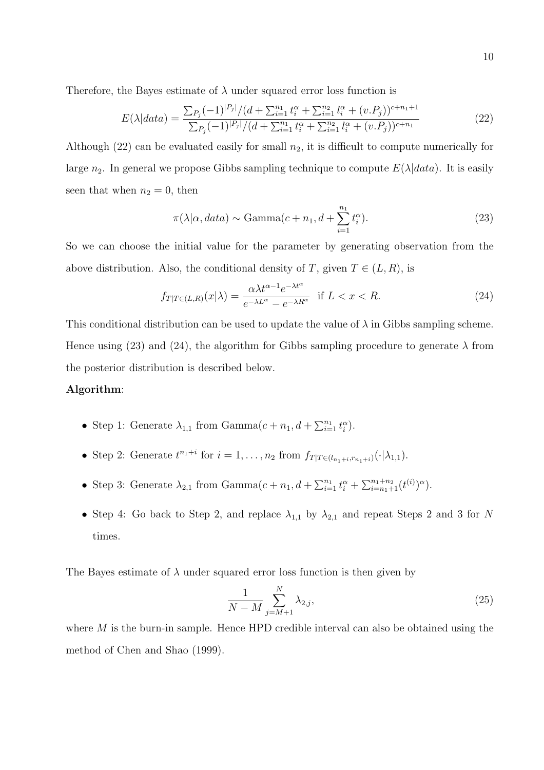Therefore, the Bayes estimate of  $\lambda$  under squared error loss function is

$$
E(\lambda|data) = \frac{\sum_{P_j} (-1)^{|P_j|} / (d + \sum_{i=1}^{n_1} t_i^{\alpha} + \sum_{i=1}^{n_2} l_i^{\alpha} + (v.P_j))^{c+n_1+1}}{\sum_{P_j} (-1)^{|P_j|} / (d + \sum_{i=1}^{n_1} t_i^{\alpha} + \sum_{i=1}^{n_2} l_i^{\alpha} + (v.P_j))^{c+n_1}}
$$
(22)

Although (22) can be evaluated easily for small  $n_2$ , it is difficult to compute numerically for large  $n_2$ . In general we propose Gibbs sampling technique to compute  $E(\lambda|data)$ . It is easily seen that when  $n_2 = 0$ , then

$$
\pi(\lambda|\alpha, data) \sim \text{Gamma}(c + n_1, d + \sum_{i=1}^{n_1} t_i^{\alpha}). \tag{23}
$$

So we can choose the initial value for the parameter by generating observation from the above distribution. Also, the conditional density of T, given  $T \in (L, R)$ , is

$$
f_{T|T\in(L,R)}(x|\lambda) = \frac{\alpha\lambda t^{\alpha-1}e^{-\lambda t^{\alpha}}}{e^{-\lambda L^{\alpha}} - e^{-\lambda R^{\alpha}}} \quad \text{if } L < x < R. \tag{24}
$$

This conditional distribution can be used to update the value of  $\lambda$  in Gibbs sampling scheme. Hence using (23) and (24), the algorithm for Gibbs sampling procedure to generate  $\lambda$  from the posterior distribution is described below.

#### Algorithm:

- Step 1: Generate  $\lambda_{1,1}$  from Gamma $(c + n_1, d + \sum_{i=1}^{n_1} t_i^{\alpha}).$
- Step 2: Generate  $t^{n_1+i}$  for  $i = 1, ..., n_2$  from  $f_{T|T \in (l_{n_1+i}, r_{n_1+i})}(\cdot | \lambda_{1,1}).$
- Step 3: Generate  $\lambda_{2,1}$  from Gamma $(c + n_1, d + \sum_{i=1}^{n_1} t_i^{\alpha} + \sum_{i=n_1+1}^{n_1+n_2} (t^{(i)})^{\alpha})$ .
- Step 4: Go back to Step 2, and replace  $\lambda_{1,1}$  by  $\lambda_{2,1}$  and repeat Steps 2 and 3 for N times.

The Bayes estimate of  $\lambda$  under squared error loss function is then given by

$$
\frac{1}{N-M} \sum_{j=M+1}^{N} \lambda_{2,j},
$$
\n(25)

where  $M$  is the burn-in sample. Hence HPD credible interval can also be obtained using the method of Chen and Shao (1999).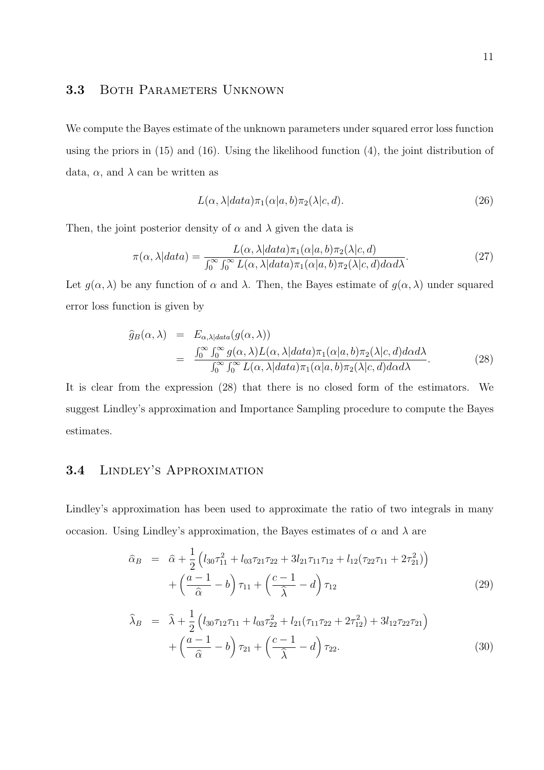#### 3.3 BOTH PARAMETERS UNKNOWN

We compute the Bayes estimate of the unknown parameters under squared error loss function using the priors in  $(15)$  and  $(16)$ . Using the likelihood function  $(4)$ , the joint distribution of data,  $\alpha$ , and  $\lambda$  can be written as

$$
L(\alpha, \lambda | data)\pi_1(\alpha|a, b)\pi_2(\lambda|c, d). \tag{26}
$$

Then, the joint posterior density of  $\alpha$  and  $\lambda$  given the data is

$$
\pi(\alpha, \lambda|data) = \frac{L(\alpha, \lambda|data)\pi_1(\alpha|a, b)\pi_2(\lambda|c, d)}{\int_0^\infty \int_0^\infty L(\alpha, \lambda|data)\pi_1(\alpha|a, b)\pi_2(\lambda|c, d)d\alpha d\lambda}.
$$
\n(27)

Let  $q(\alpha, \lambda)$  be any function of  $\alpha$  and  $\lambda$ . Then, the Bayes estimate of  $q(\alpha, \lambda)$  under squared error loss function is given by

$$
\widehat{g}_B(\alpha,\lambda) = E_{\alpha,\lambda|data}(g(\alpha,\lambda)) \n= \frac{\int_0^\infty \int_0^\infty g(\alpha,\lambda)L(\alpha,\lambda|data)\pi_1(\alpha|a,b)\pi_2(\lambda|c,d)d\alpha d\lambda}{\int_0^\infty \int_0^\infty L(\alpha,\lambda|data)\pi_1(\alpha|a,b)\pi_2(\lambda|c,d)d\alpha d\lambda}.
$$
\n(28)

It is clear from the expression (28) that there is no closed form of the estimators. We suggest Lindley's approximation and Importance Sampling procedure to compute the Bayes estimates.

#### 3.4 Lindley's Approximation

Lindley's approximation has been used to approximate the ratio of two integrals in many occasion. Using Lindley's approximation, the Bayes estimates of  $\alpha$  and  $\lambda$  are

$$
\hat{\alpha}_B = \hat{\alpha} + \frac{1}{2} \left( l_{30} \tau_{11}^2 + l_{03} \tau_{21} \tau_{22} + 3 l_{21} \tau_{11} \tau_{12} + l_{12} (\tau_{22} \tau_{11} + 2 \tau_{21}^2) \right) \n+ \left( \frac{a-1}{\hat{\alpha}} - b \right) \tau_{11} + \left( \frac{c-1}{\hat{\lambda}} - d \right) \tau_{12}
$$
\n(29)

$$
\widehat{\lambda}_B = \widehat{\lambda} + \frac{1}{2} \left( l_{30} \tau_{12} \tau_{11} + l_{03} \tau_{22}^2 + l_{21} (\tau_{11} \tau_{22} + 2 \tau_{12}^2) + 3 l_{12} \tau_{22} \tau_{21} \right) \n+ \left( \frac{a-1}{\widehat{\alpha}} - b \right) \tau_{21} + \left( \frac{c-1}{\widehat{\lambda}} - d \right) \tau_{22}.
$$
\n(30)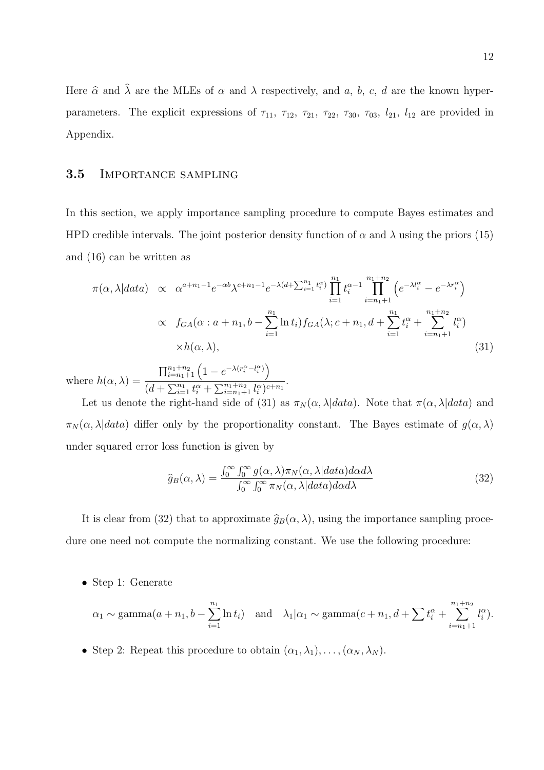Here  $\hat{\alpha}$  and  $\hat{\lambda}$  are the MLEs of  $\alpha$  and  $\lambda$  respectively, and a, b, c, d are the known hyperparameters. The explicit expressions of  $\tau_{11}$ ,  $\tau_{12}$ ,  $\tau_{21}$ ,  $\tau_{22}$ ,  $\tau_{30}$ ,  $\tau_{03}$ ,  $l_{21}$ ,  $l_{12}$  are provided in Appendix.

#### 3.5 Importance sampling

In this section, we apply importance sampling procedure to compute Bayes estimates and HPD credible intervals. The joint posterior density function of  $\alpha$  and  $\lambda$  using the priors (15) and (16) can be written as

$$
\pi(\alpha, \lambda|data) \propto \alpha^{a+n_1-1} e^{-\alpha b} \lambda^{c+n_1-1} e^{-\lambda(d+\sum_{i=1}^{n_1} t_i^{\alpha})} \prod_{i=1}^{n_1} t_i^{\alpha-1} \prod_{i=n_1+1}^{n_1+n_2} \left( e^{-\lambda l_i^{\alpha}} - e^{-\lambda r_i^{\alpha}} \right)
$$
  
 
$$
\propto f_{GA}(\alpha : a+n_1, b-\sum_{i=1}^{n_1} \ln t_i) f_{GA}(\lambda; c+n_1, d+\sum_{i=1}^{n_1} t_i^{\alpha} + \sum_{i=n_1+1}^{n_1+n_2} l_i^{\alpha})
$$
  
 
$$
\times h(\alpha, \lambda), \qquad (31)
$$

where  $h(\alpha, \lambda) =$  $\prod_{i=n_1+1}^{n_1+n_2} \left(1 - e^{-\lambda(r_i^{\alpha} - l_i^{\alpha})}\right)$  $\frac{1}{(d+\sum_{i=1}^{n_1}t_i^{\alpha}+\sum_{i=n_1+1}^{n_1+n_2}l_i^{\alpha})^{c+n_1}}.$ 

Let us denote the right-hand side of (31) as  $\pi_N(\alpha, \lambda|data)$ . Note that  $\pi(\alpha, \lambda|data)$  and  $\pi_N(\alpha, \lambda|data)$  differ only by the proportionality constant. The Bayes estimate of  $g(\alpha, \lambda)$ under squared error loss function is given by

$$
\widehat{g}_B(\alpha,\lambda) = \frac{\int_0^\infty \int_0^\infty g(\alpha,\lambda)\pi_N(\alpha,\lambda|data)d\alpha d\lambda}{\int_0^\infty \int_0^\infty \pi_N(\alpha,\lambda|data)d\alpha d\lambda} \tag{32}
$$

It is clear from (32) that to approximate  $\hat{g}_B(\alpha, \lambda)$ , using the importance sampling procedure one need not compute the normalizing constant. We use the following procedure:

• Step 1: Generate

$$
\alpha_1 \sim \text{gamma}(a + n_1, b - \sum_{i=1}^{n_1} \ln t_i)
$$
 and  $\lambda_1 | \alpha_1 \sim \text{gamma}(c + n_1, d + \sum_{i=1}^{n_1+n_2} t_i^{\alpha}).$ 

• Step 2: Repeat this procedure to obtain  $(\alpha_1, \lambda_1), \ldots, (\alpha_N, \lambda_N)$ .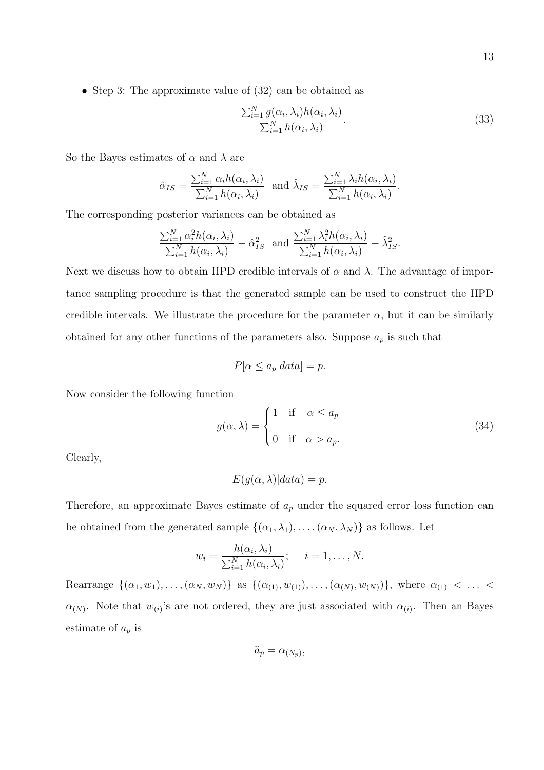• Step 3: The approximate value of  $(32)$  can be obtained as

$$
\frac{\sum_{i=1}^{N} g(\alpha_i, \lambda_i) h(\alpha_i, \lambda_i)}{\sum_{i=1}^{N} h(\alpha_i, \lambda_i)}.
$$
\n(33)

So the Bayes estimates of  $\alpha$  and  $\lambda$  are

$$
\hat{\alpha}_{IS} = \frac{\sum_{i=1}^{N} \alpha_i h(\alpha_i, \lambda_i)}{\sum_{i=1}^{N} h(\alpha_i, \lambda_i)} \text{ and } \hat{\lambda}_{IS} = \frac{\sum_{i=1}^{N} \lambda_i h(\alpha_i, \lambda_i)}{\sum_{i=1}^{N} h(\alpha_i, \lambda_i)}.
$$

The corresponding posterior variances can be obtained as

$$
\frac{\sum_{i=1}^N \alpha_i^2 h(\alpha_i, \lambda_i)}{\sum_{i=1}^N h(\alpha_i, \lambda_i)} - \hat{\alpha}_{IS}^2
$$
 and 
$$
\frac{\sum_{i=1}^N \lambda_i^2 h(\alpha_i, \lambda_i)}{\sum_{i=1}^N h(\alpha_i, \lambda_i)} - \hat{\lambda}_{IS}^2.
$$

Next we discuss how to obtain HPD credible intervals of  $\alpha$  and  $\lambda$ . The advantage of importance sampling procedure is that the generated sample can be used to construct the HPD credible intervals. We illustrate the procedure for the parameter  $\alpha$ , but it can be similarly obtained for any other functions of the parameters also. Suppose  $a_p$  is such that

$$
P[\alpha \le a_p|data] = p.
$$

Now consider the following function

$$
g(\alpha, \lambda) = \begin{cases} 1 & \text{if } \alpha \le a_p \\ 0 & \text{if } \alpha > a_p. \end{cases}
$$
 (34)

Clearly,

$$
E(g(\alpha, \lambda))|data) = p.
$$

Therefore, an approximate Bayes estimate of  $a_p$  under the squared error loss function can be obtained from the generated sample  $\{(\alpha_1, \lambda_1), \ldots, (\alpha_N, \lambda_N)\}\)$  as follows. Let

$$
w_i = \frac{h(\alpha_i, \lambda_i)}{\sum_{i=1}^N h(\alpha_i, \lambda_i)}; \quad i = 1, \dots, N.
$$

Rearrange  $\{(\alpha_1, w_1), \ldots, (\alpha_N, w_N)\}\$ as  $\{(\alpha_{(1)}, w_{(1)}), \ldots, (\alpha_{(N)}, w_{(N)})\}\$ , where  $\alpha_{(1)} < \ldots <$  $\alpha_{(N)}$ . Note that  $w_{(i)}$ 's are not ordered, they are just associated with  $\alpha_{(i)}$ . Then an Bayes estimate of  $a_p$  is

$$
\widehat{a}_p = \alpha_{(N_p)},
$$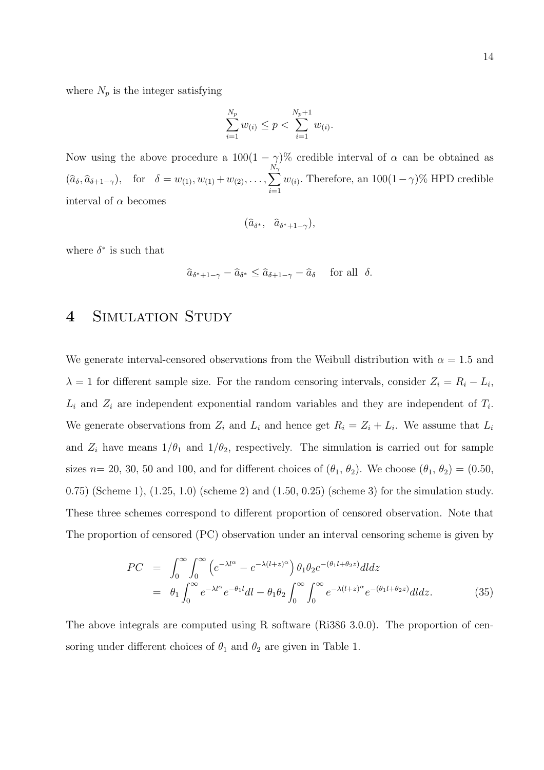where  $N_p$  is the integer satisfying

$$
\sum_{i=1}^{N_p} w_{(i)} \le p < \sum_{i=1}^{N_p+1} w_{(i)}.
$$

Now using the above procedure a  $100(1 - \gamma)\%$  credible interval of  $\alpha$  can be obtained as  $(\widehat{a}_{\delta}, \widehat{a}_{\delta+1-\gamma}), \text{ for } \delta = w_{(1)}, w_{(1)}+w_{(2)}, \ldots, \sum$  $N_{\gamma}$  $i=1$  $w_{(i)}$ . Therefore, an  $100(1-\gamma)\%$  HPD credible interval of  $\alpha$  becomes

$$
(\widehat{a}_{\delta^*}, \ \widehat{a}_{\delta^*+1-\gamma}),
$$

where  $\delta^*$  is such that

$$
\widehat{a}_{\delta^*+1-\gamma} - \widehat{a}_{\delta^*} \le \widehat{a}_{\delta+1-\gamma} - \widehat{a}_{\delta} \quad \text{ for all } \delta.
$$

### 4 SIMULATION STUDY

We generate interval-censored observations from the Weibull distribution with  $\alpha = 1.5$  and  $\lambda = 1$  for different sample size. For the random censoring intervals, consider  $Z_i = R_i - L_i$ ,  $L_i$  and  $Z_i$  are independent exponential random variables and they are independent of  $T_i$ . We generate observations from  $Z_i$  and  $L_i$  and hence get  $R_i = Z_i + L_i$ . We assume that  $L_i$ and  $Z_i$  have means  $1/\theta_1$  and  $1/\theta_2$ , respectively. The simulation is carried out for sample sizes  $n= 20, 30, 50$  and 100, and for different choices of  $(\theta_1, \theta_2)$ . We choose  $(\theta_1, \theta_2) = (0.50,$ 0.75) (Scheme 1), (1.25, 1.0) (scheme 2) and (1.50, 0.25) (scheme 3) for the simulation study. These three schemes correspond to different proportion of censored observation. Note that The proportion of censored (PC) observation under an interval censoring scheme is given by

$$
PC = \int_0^\infty \int_0^\infty \left( e^{-\lambda l^\alpha} - e^{-\lambda (l+z)^\alpha} \right) \theta_1 \theta_2 e^{-(\theta_1 l + \theta_2 z)} dl dz
$$
  
=  $\theta_1 \int_0^\infty e^{-\lambda l^\alpha} e^{-\theta_1 l} dl - \theta_1 \theta_2 \int_0^\infty \int_0^\infty e^{-\lambda (l+z)^\alpha} e^{-(\theta_1 l + \theta_2 z)} dl dz.$  (35)

The above integrals are computed using R software (Ri386 3.0.0). The proportion of censoring under different choices of  $\theta_1$  and  $\theta_2$  are given in Table 1.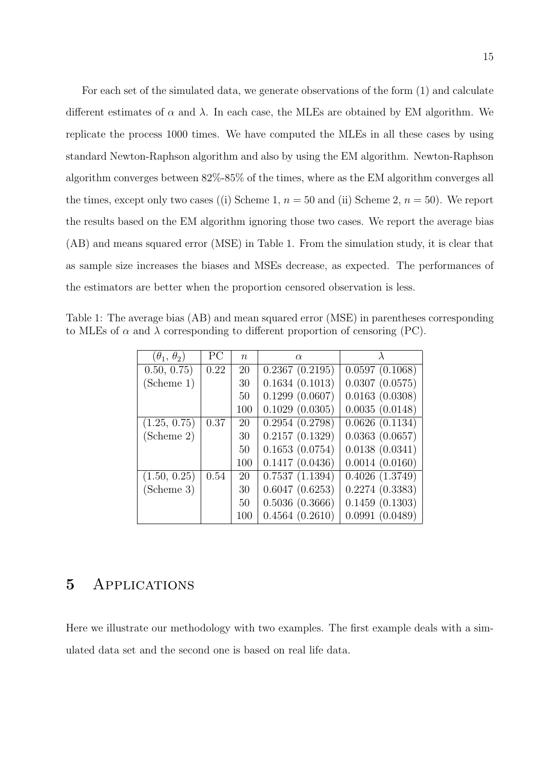For each set of the simulated data, we generate observations of the form (1) and calculate different estimates of  $\alpha$  and  $\lambda$ . In each case, the MLEs are obtained by EM algorithm. We replicate the process 1000 times. We have computed the MLEs in all these cases by using standard Newton-Raphson algorithm and also by using the EM algorithm. Newton-Raphson algorithm converges between 82%-85% of the times, where as the EM algorithm converges all the times, except only two cases ((i) Scheme 1,  $n = 50$  and (ii) Scheme 2,  $n = 50$ ). We report the results based on the EM algorithm ignoring those two cases. We report the average bias (AB) and means squared error (MSE) in Table 1. From the simulation study, it is clear that as sample size increases the biases and MSEs decrease, as expected. The performances of the estimators are better when the proportion censored observation is less.

Table 1: The average bias (AB) and mean squared error (MSE) in parentheses corresponding to MLEs of  $\alpha$  and  $\lambda$  corresponding to different proportion of censoring (PC).

| $(\theta_1, \theta_2)$ | PC   | $\boldsymbol{n}$ | $\alpha$       |                |
|------------------------|------|------------------|----------------|----------------|
| 0.50, 0.75)            | 0.22 | 20               | 0.2367(0.2195) | 0.0597(0.1068) |
| (Scheme 1)             |      | 30               | 0.1634(0.1013) | 0.0307(0.0575) |
|                        |      | 50               | 0.1299(0.0607) | 0.0163(0.0308) |
|                        |      | 100              | 0.1029(0.0305) | 0.0035(0.0148) |
| (1.25, 0.75)           | 0.37 | 20               | 0.2954(0.2798) | 0.0626(0.1134) |
| (Scheme 2)             |      | 30               | 0.2157(0.1329) | 0.0363(0.0657) |
|                        |      | 50               | 0.1653(0.0754) | 0.0138(0.0341) |
|                        |      | 100              | 0.1417(0.0436) | 0.0014(0.0160) |
| (1.50, 0.25)           | 0.54 | 20               | 0.7537(1.1394) | 0.4026(1.3749) |
| (Scheme 3)             |      | 30               | 0.6047(0.6253) | 0.2274(0.3383) |
|                        |      | 50               | 0.5036(0.3666) | 0.1459(0.1303) |
|                        |      | 100              | 0.4564(0.2610) | 0.0991(0.0489) |

#### 5 Applications

Here we illustrate our methodology with two examples. The first example deals with a simulated data set and the second one is based on real life data.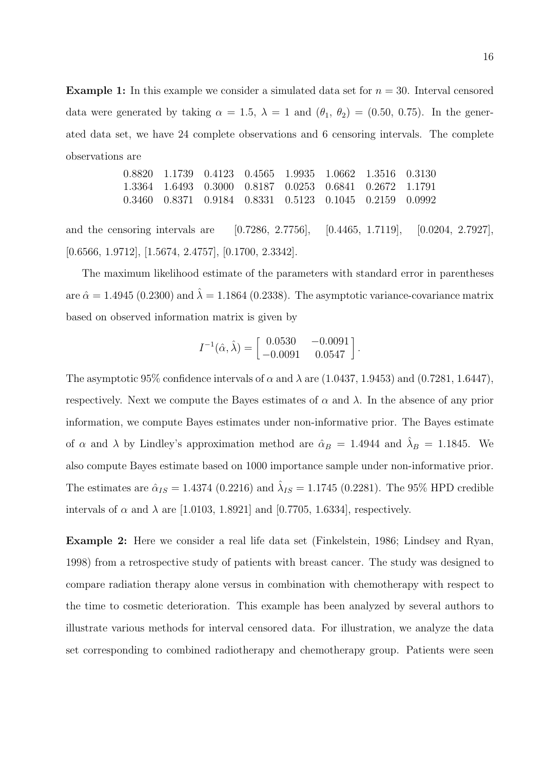**Example 1:** In this example we consider a simulated data set for  $n = 30$ . Interval censored data were generated by taking  $\alpha = 1.5$ ,  $\lambda = 1$  and  $(\theta_1, \theta_2) = (0.50, 0.75)$ . In the generated data set, we have 24 complete observations and 6 censoring intervals. The complete observations are

$$
\begin{array}{cccccc} 0.8820 & 1.1739 & 0.4123 & 0.4565 & 1.9935 & 1.0662 & 1.3516 & 0.3130 \\ 1.3364 & 1.6493 & 0.3000 & 0.8187 & 0.0253 & 0.6841 & 0.2672 & 1.1791 \\ 0.3460 & 0.8371 & 0.9184 & 0.8331 & 0.5123 & 0.1045 & 0.2159 & 0.0992 \end{array}
$$

and the censoring intervals are [0.7286, 2.7756], [0.4465, 1.7119], [0.0204, 2.7927], [0.6566, 1.9712], [1.5674, 2.4757], [0.1700, 2.3342].

The maximum likelihood estimate of the parameters with standard error in parentheses are  $\hat{\alpha} = 1.4945$  (0.2300) and  $\hat{\lambda} = 1.1864$  (0.2338). The asymptotic variance-covariance matrix based on observed information matrix is given by

$$
I^{-1}(\hat{\alpha}, \hat{\lambda}) = \begin{bmatrix} 0.0530 & -0.0091 \\ -0.0091 & 0.0547 \end{bmatrix}.
$$

The asymptotic 95% confidence intervals of  $\alpha$  and  $\lambda$  are (1.0437, 1.9453) and (0.7281, 1.6447), respectively. Next we compute the Bayes estimates of  $\alpha$  and  $\lambda$ . In the absence of any prior information, we compute Bayes estimates under non-informative prior. The Bayes estimate of  $\alpha$  and  $\lambda$  by Lindley's approximation method are  $\hat{\alpha}_B = 1.4944$  and  $\hat{\lambda}_B = 1.1845$ . We also compute Bayes estimate based on 1000 importance sample under non-informative prior. The estimates are  $\hat{\alpha}_{IS} = 1.4374$  (0.2216) and  $\hat{\lambda}_{IS} = 1.1745$  (0.2281). The 95% HPD credible intervals of  $\alpha$  and  $\lambda$  are [1.0103, 1.8921] and [0.7705, 1.6334], respectively.

Example 2: Here we consider a real life data set (Finkelstein, 1986; Lindsey and Ryan, 1998) from a retrospective study of patients with breast cancer. The study was designed to compare radiation therapy alone versus in combination with chemotherapy with respect to the time to cosmetic deterioration. This example has been analyzed by several authors to illustrate various methods for interval censored data. For illustration, we analyze the data set corresponding to combined radiotherapy and chemotherapy group. Patients were seen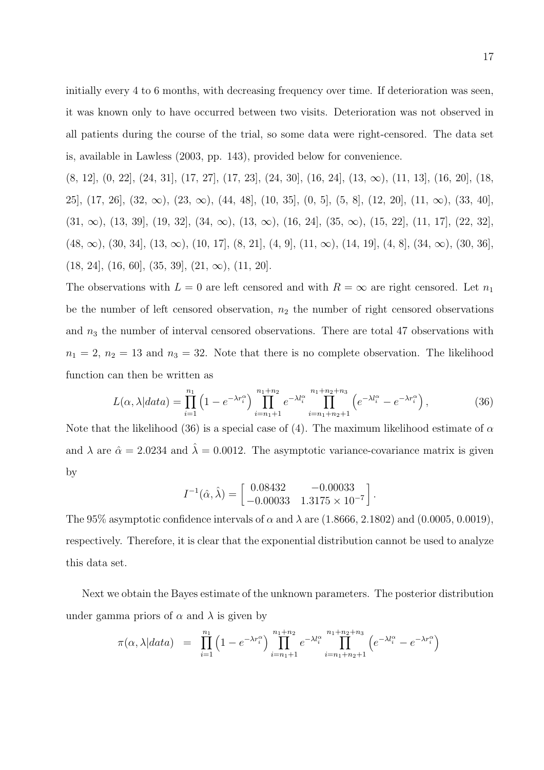initially every 4 to 6 months, with decreasing frequency over time. If deterioration was seen, it was known only to have occurred between two visits. Deterioration was not observed in all patients during the course of the trial, so some data were right-censored. The data set is, available in Lawless (2003, pp. 143), provided below for convenience.

 $(8, 12]$ ,  $(0, 22]$ ,  $(24, 31]$ ,  $(17, 27]$ ,  $(17, 23]$ ,  $(24, 30]$ ,  $(16, 24]$ ,  $(13, \infty)$ ,  $(11, 13]$ ,  $(16, 20]$ ,  $(18,$ 25],  $(17, 26]$ ,  $(32, \infty)$ ,  $(23, \infty)$ ,  $(44, 48]$ ,  $(10, 35]$ ,  $(0, 5]$ ,  $(5, 8]$ ,  $(12, 20]$ ,  $(11, \infty)$ ,  $(33, 40]$ ,  $(31, \infty)$ ,  $(13, 39]$ ,  $(19, 32]$ ,  $(34, \infty)$ ,  $(13, \infty)$ ,  $(16, 24]$ ,  $(35, \infty)$ ,  $(15, 22]$ ,  $(11, 17]$ ,  $(22, 32]$ ,  $(48, \infty)$ ,  $(30, 34]$ ,  $(13, \infty)$ ,  $(10, 17]$ ,  $(8, 21]$ ,  $(4, 9]$ ,  $(11, \infty)$ ,  $(14, 19]$ ,  $(4, 8]$ ,  $(34, \infty)$ ,  $(30, 36]$ ,  $(18, 24]$ ,  $(16, 60]$ ,  $(35, 39]$ ,  $(21, \infty)$ ,  $(11, 20]$ .

The observations with  $L = 0$  are left censored and with  $R = \infty$  are right censored. Let  $n_1$ be the number of left censored observation,  $n_2$  the number of right censored observations and  $n_3$  the number of interval censored observations. There are total 47 observations with  $n_1 = 2$ ,  $n_2 = 13$  and  $n_3 = 32$ . Note that there is no complete observation. The likelihood function can then be written as

$$
L(\alpha, \lambda|data) = \prod_{i=1}^{n_1} \left(1 - e^{-\lambda r_i^{\alpha}}\right) \prod_{i=n_1+1}^{n_1+n_2} e^{-\lambda l_i^{\alpha}} \prod_{i=n_1+n_2+1}^{n_1+n_2+n_3} \left(e^{-\lambda l_i^{\alpha}} - e^{-\lambda r_i^{\alpha}}\right),\tag{36}
$$

Note that the likelihood (36) is a special case of (4). The maximum likelihood estimate of  $\alpha$ and  $\lambda$  are  $\hat{\alpha} = 2.0234$  and  $\hat{\lambda} = 0.0012$ . The asymptotic variance-covariance matrix is given by

$$
I^{-1}(\hat{\alpha}, \hat{\lambda}) = \begin{bmatrix} 0.08432 & -0.00033 \\ -0.00033 & 1.3175 \times 10^{-7} \end{bmatrix}.
$$

The 95% asymptotic confidence intervals of  $\alpha$  and  $\lambda$  are (1.8666, 2.1802) and (0.0005, 0.0019), respectively. Therefore, it is clear that the exponential distribution cannot be used to analyze this data set.

Next we obtain the Bayes estimate of the unknown parameters. The posterior distribution under gamma priors of  $\alpha$  and  $\lambda$  is given by

$$
\pi(\alpha, \lambda|data) = \prod_{i=1}^{n_1} (1 - e^{-\lambda r_i^{\alpha}}) \prod_{i=n_1+1}^{n_1+n_2} e^{-\lambda l_i^{\alpha}} \prod_{i=n_1+n_2+1}^{n_1+n_2+n_3} (e^{-\lambda l_i^{\alpha}} - e^{-\lambda r_i^{\alpha}})
$$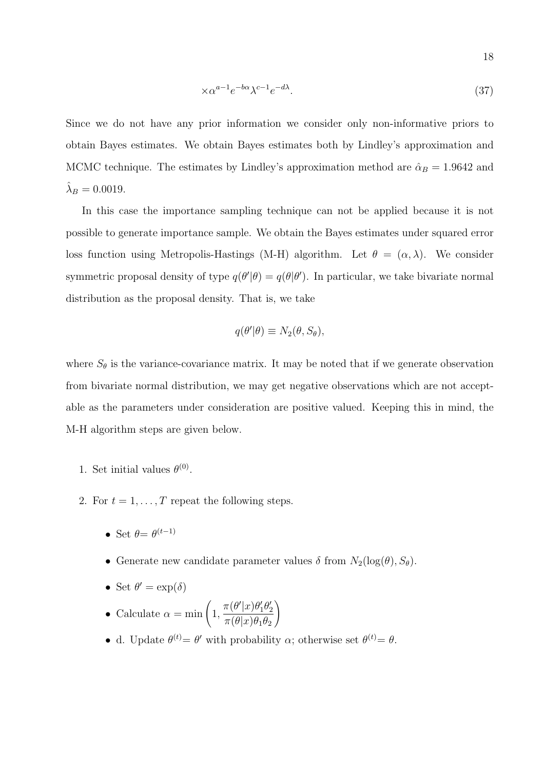$$
\times \alpha^{a-1} e^{-b\alpha} \lambda^{c-1} e^{-d\lambda}.
$$
\n(37)

Since we do not have any prior information we consider only non-informative priors to obtain Bayes estimates. We obtain Bayes estimates both by Lindley's approximation and MCMC technique. The estimates by Lindley's approximation method are  $\hat{\alpha}_B = 1.9642$  and  $\hat{\lambda}_B = 0.0019.$ 

In this case the importance sampling technique can not be applied because it is not possible to generate importance sample. We obtain the Bayes estimates under squared error loss function using Metropolis-Hastings (M-H) algorithm. Let  $\theta = (\alpha, \lambda)$ . We consider symmetric proposal density of type  $q(\theta'|\theta) = q(\theta|\theta')$ . In particular, we take bivariate normal distribution as the proposal density. That is, we take

$$
q(\theta'|\theta) \equiv N_2(\theta, S_\theta),
$$

where  $S_{\theta}$  is the variance-covariance matrix. It may be noted that if we generate observation from bivariate normal distribution, we may get negative observations which are not acceptable as the parameters under consideration are positive valued. Keeping this in mind, the M-H algorithm steps are given below.

- 1. Set initial values  $\theta^{(0)}$ .
- 2. For  $t = 1, \ldots, T$  repeat the following steps.
	- Set  $\theta = \theta^{(t-1)}$
	- Generate new candidate parameter values  $\delta$  from  $N_2(\log(\theta), S_\theta)$ .
	- Set  $\theta' = \exp(\delta)$
	- Calculate  $\alpha = \min(1,$  $\pi(\theta'|x)\theta_1'\theta_2'$  $\pi(\theta|x)\theta_1\theta_2$  $\setminus$
	- d. Update  $\theta^{(t)} = \theta'$  with probability  $\alpha$ ; otherwise set  $\theta^{(t)} = \theta$ .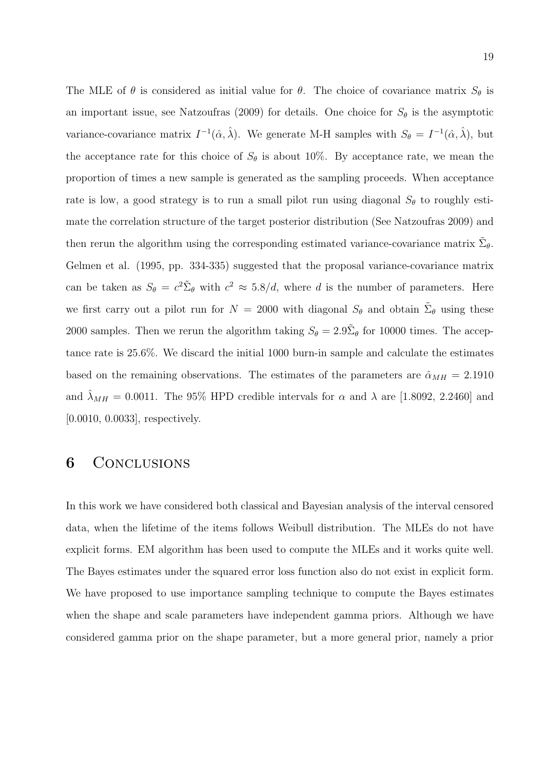The MLE of  $\theta$  is considered as initial value for  $\theta$ . The choice of covariance matrix  $S_{\theta}$  is an important issue, see Natzoufras (2009) for details. One choice for  $S_{\theta}$  is the asymptotic variance-covariance matrix  $I^{-1}(\hat{\alpha}, \hat{\lambda})$ . We generate M-H samples with  $S_{\theta} = I^{-1}(\hat{\alpha}, \hat{\lambda})$ , but the acceptance rate for this choice of  $S_{\theta}$  is about 10%. By acceptance rate, we mean the proportion of times a new sample is generated as the sampling proceeds. When acceptance rate is low, a good strategy is to run a small pilot run using diagonal  $S_{\theta}$  to roughly estimate the correlation structure of the target posterior distribution (See Natzoufras 2009) and then rerun the algorithm using the corresponding estimated variance-covariance matrix  $\tilde{\Sigma}_{\theta}$ . Gelmen et al. (1995, pp. 334-335) suggested that the proposal variance-covariance matrix can be taken as  $S_{\theta} = c^2 \tilde{\Sigma}_{\theta}$  with  $c^2 \approx 5.8/d$ , where d is the number of parameters. Here we first carry out a pilot run for  $N = 2000$  with diagonal  $S_{\theta}$  and obtain  $\tilde{\Sigma}_{\theta}$  using these 2000 samples. Then we rerun the algorithm taking  $S_{\theta} = 2.9\tilde{\Sigma}_{\theta}$  for 10000 times. The acceptance rate is 25.6%. We discard the initial 1000 burn-in sample and calculate the estimates based on the remaining observations. The estimates of the parameters are  $\hat{\alpha}_{MH} = 2.1910$ and  $\lambda_{MH} = 0.0011$ . The 95% HPD credible intervals for  $\alpha$  and  $\lambda$  are [1.8092, 2.2460] and [0.0010, 0.0033], respectively.

### 6 Conclusions

In this work we have considered both classical and Bayesian analysis of the interval censored data, when the lifetime of the items follows Weibull distribution. The MLEs do not have explicit forms. EM algorithm has been used to compute the MLEs and it works quite well. The Bayes estimates under the squared error loss function also do not exist in explicit form. We have proposed to use importance sampling technique to compute the Bayes estimates when the shape and scale parameters have independent gamma priors. Although we have considered gamma prior on the shape parameter, but a more general prior, namely a prior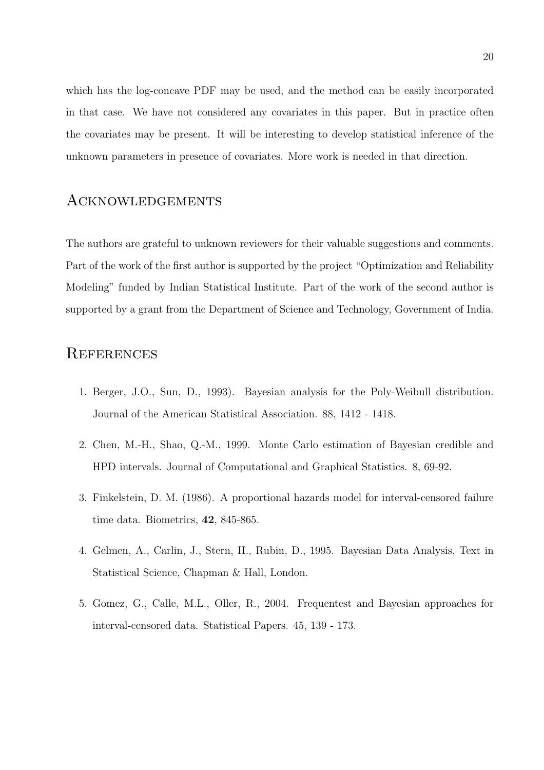which has the log-concave PDF may be used, and the method can be easily incorporated in that case. We have not considered any covariates in this paper. But in practice often the covariates may be present. It will be interesting to develop statistical inference of the unknown parameters in presence of covariates. More work is needed in that direction.

#### Acknowledgements

The authors are grateful to unknown reviewers for their valuable suggestions and comments. Part of the work of the first author is supported by the project "Optimization and Reliability Modeling" funded by Indian Statistical Institute. Part of the work of the second author is supported by a grant from the Department of Science and Technology, Government of India.

### **REFERENCES**

- 1. Berger, J.O., Sun, D., 1993). Bayesian analysis for the Poly-Weibull distribution. Journal of the American Statistical Association. 88, 1412 - 1418.
- 2. Chen, M.-H., Shao, Q.-M., 1999. Monte Carlo estimation of Bayesian credible and HPD intervals. Journal of Computational and Graphical Statistics. 8, 69-92.
- 3. Finkelstein, D. M. (1986). A proportional hazards model for interval-censored failure time data. Biometrics, 42, 845-865.
- 4. Gelmen, A., Carlin, J., Stern, H., Rubin, D., 1995. Bayesian Data Analysis, Text in Statistical Science, Chapman & Hall, London.
- 5. Gomez, G., Calle, M.L., Oller, R., 2004. Frequentest and Bayesian approaches for interval-censored data. Statistical Papers. 45, 139 - 173.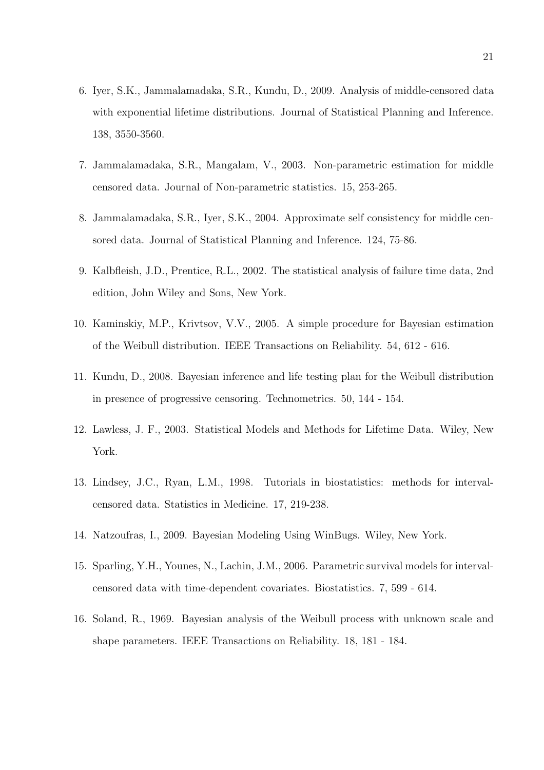- 6. Iyer, S.K., Jammalamadaka, S.R., Kundu, D., 2009. Analysis of middle-censored data with exponential lifetime distributions. Journal of Statistical Planning and Inference. 138, 3550-3560.
- 7. Jammalamadaka, S.R., Mangalam, V., 2003. Non-parametric estimation for middle censored data. Journal of Non-parametric statistics. 15, 253-265.
- 8. Jammalamadaka, S.R., Iyer, S.K., 2004. Approximate self consistency for middle censored data. Journal of Statistical Planning and Inference. 124, 75-86.
- 9. Kalbfleish, J.D., Prentice, R.L., 2002. The statistical analysis of failure time data, 2nd edition, John Wiley and Sons, New York.
- 10. Kaminskiy, M.P., Krivtsov, V.V., 2005. A simple procedure for Bayesian estimation of the Weibull distribution. IEEE Transactions on Reliability. 54, 612 - 616.
- 11. Kundu, D., 2008. Bayesian inference and life testing plan for the Weibull distribution in presence of progressive censoring. Technometrics. 50, 144 - 154.
- 12. Lawless, J. F., 2003. Statistical Models and Methods for Lifetime Data. Wiley, New York.
- 13. Lindsey, J.C., Ryan, L.M., 1998. Tutorials in biostatistics: methods for intervalcensored data. Statistics in Medicine. 17, 219-238.
- 14. Natzoufras, I., 2009. Bayesian Modeling Using WinBugs. Wiley, New York.
- 15. Sparling, Y.H., Younes, N., Lachin, J.M., 2006. Parametric survival models for intervalcensored data with time-dependent covariates. Biostatistics. 7, 599 - 614.
- 16. Soland, R., 1969. Bayesian analysis of the Weibull process with unknown scale and shape parameters. IEEE Transactions on Reliability. 18, 181 - 184.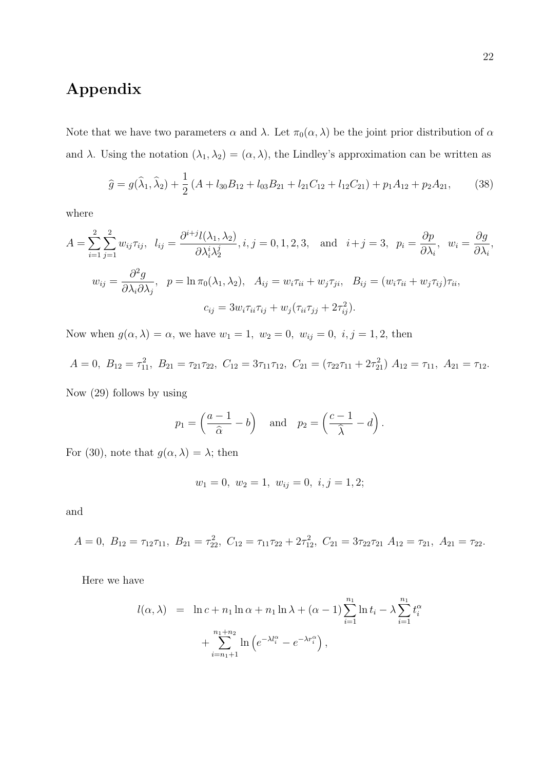## Appendix

Note that we have two parameters  $\alpha$  and  $\lambda$ . Let  $\pi_0(\alpha, \lambda)$  be the joint prior distribution of  $\alpha$ and  $\lambda$ . Using the notation  $(\lambda_1, \lambda_2) = (\alpha, \lambda)$ , the Lindley's approximation can be written as

$$
\hat{g} = g(\hat{\lambda}_1, \hat{\lambda}_2) + \frac{1}{2} (A + l_{30}B_{12} + l_{03}B_{21} + l_{21}C_{12} + l_{12}C_{21}) + p_1 A_{12} + p_2 A_{21},
$$
 (38)

where

$$
A = \sum_{i=1}^{2} \sum_{j=1}^{2} w_{ij} \tau_{ij}, \quad l_{ij} = \frac{\partial^{i+j} l(\lambda_1, \lambda_2)}{\partial \lambda_i^i \lambda_2^j}, i, j = 0, 1, 2, 3, \quad \text{and} \quad i+j = 3, \quad p_i = \frac{\partial p}{\partial \lambda_i}, \quad w_i = \frac{\partial g}{\partial \lambda_i},
$$

$$
w_{ij} = \frac{\partial^2 g}{\partial \lambda_i \partial \lambda_j}, \quad p = \ln \pi_0(\lambda_1, \lambda_2), \quad A_{ij} = w_i \tau_{ii} + w_j \tau_{ji}, \quad B_{ij} = (w_i \tau_{ii} + w_j \tau_{ij}) \tau_{ii},
$$

$$
c_{ij} = 3w_i \tau_{ii} \tau_{ij} + w_j (\tau_{ii} \tau_{jj} + 2\tau_{ij}^2).
$$

Now when  $g(\alpha, \lambda) = \alpha$ , we have  $w_1 = 1$ ,  $w_2 = 0$ ,  $w_{ij} = 0$ ,  $i, j = 1, 2$ , then

$$
A = 0, B_{12} = \tau_{11}^2, B_{21} = \tau_{21}\tau_{22}, C_{12} = 3\tau_{11}\tau_{12}, C_{21} = (\tau_{22}\tau_{11} + 2\tau_{21}^2) A_{12} = \tau_{11}, A_{21} = \tau_{12}.
$$

Now (29) follows by using

$$
p_1 = \left(\frac{a-1}{\hat{\alpha}} - b\right)
$$
 and  $p_2 = \left(\frac{c-1}{\hat{\lambda}} - d\right)$ .

For (30), note that  $g(\alpha, \lambda) = \lambda$ ; then

$$
w_1 = 0, w_2 = 1, w_{ij} = 0, i, j = 1, 2;
$$

and

$$
A = 0, B_{12} = \tau_{12}\tau_{11}, B_{21} = \tau_{22}^2, C_{12} = \tau_{11}\tau_{22} + 2\tau_{12}^2, C_{21} = 3\tau_{22}\tau_{21} A_{12} = \tau_{21}, A_{21} = \tau_{22}.
$$

Here we have

$$
l(\alpha, \lambda) = \ln c + n_1 \ln \alpha + n_1 \ln \lambda + (\alpha - 1) \sum_{i=1}^{n_1} \ln t_i - \lambda \sum_{i=1}^{n_1} t_i^{\alpha} + \sum_{i=n_1+1}^{n_1+n_2} \ln \left( e^{-\lambda t_i^{\alpha}} - e^{-\lambda r_i^{\alpha}} \right),
$$